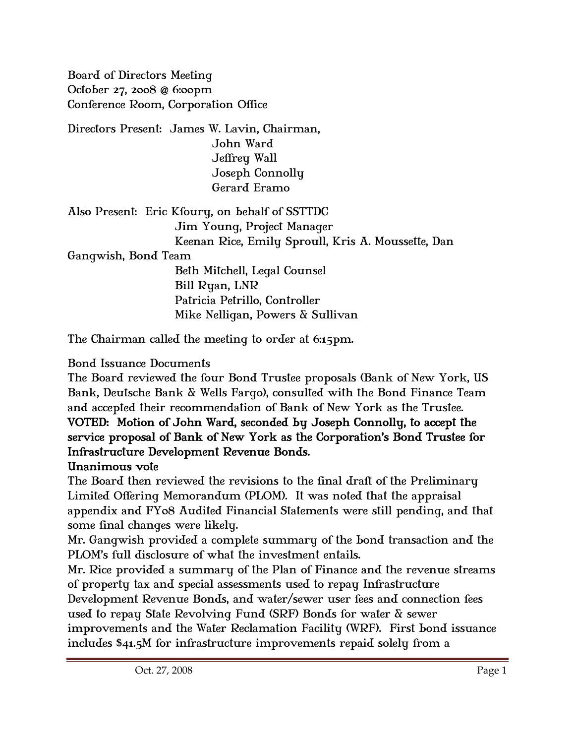Board of Directors Meeting October 27, 2008 @ 6:00pm Conference Room, Corporation Office

Directors Present: James W. Lavin, Chairman, John Ward Jeffrey Wall Joseph Connolly Gerard Eramo

Also Present: Eric Kfoury, on behalf of SSTTDC Jim Young, Project Manager Keenan Rice, Emily Sproull, Kris A. Moussette, Dan

## Gangwish, Bond Team

 Beth Mitchell, Legal Counsel Bill Ryan, LNR Patricia Petrillo, Controller Mike Nelligan, Powers & Sullivan

The Chairman called the meeting to order at 6:15pm.

## Bond Issuance Documents

The Board reviewed the four Bond Trustee proposals (Bank of New York, US Bank, Deutsche Bank & Wells Fargo), consulted with the Bond Finance Team and accepted their recommendation of Bank of New York as the Trustee. VOTED: Motion of John Ward, seconded by Joseph Connolly, to accept the service proposal of Bank of New York as the Corporation's Bond Trustee for

## Infrastructure Development Revenue Bonds.

## Unanimous vote

The Board then reviewed the revisions to the final draft of the Preliminary Limited Offering Memorandum (PLOM). It was noted that the appraisal appendix and FY08 Audited Financial Statements were still pending, and that some final changes were likely.

Mr. Gangwish provided a complete summary of the bond transaction and the PLOM's full disclosure of what the investment entails.

Mr. Rice provided a summary of the Plan of Finance and the revenue streams of property tax and special assessments used to repay Infrastructure

Development Revenue Bonds, and water/sewer user fees and connection fees used to repay State Revolving Fund (SRF) Bonds for water & sewer

improvements and the Water Reclamation Facility (WRF). First bond issuance includes \$41.5M for infrastructure improvements repaid solely from a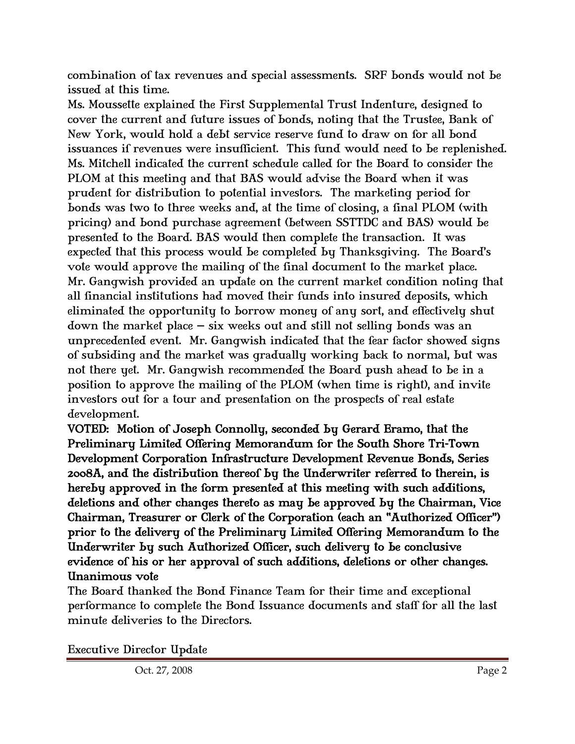combination of tax revenues and special assessments. SRF bonds would not be issued at this time.

Ms. Moussette explained the First Supplemental Trust Indenture, designed to cover the current and future issues of bonds, noting that the Trustee, Bank of New York, would hold a debt service reserve fund to draw on for all bond issuances if revenues were insufficient. This fund would need to be replenished. Ms. Mitchell indicated the current schedule called for the Board to consider the PLOM at this meeting and that BAS would advise the Board when it was prudent for distribution to potential investors. The marketing period for bonds was two to three weeks and, at the time of closing, a final PLOM (with pricing) and bond purchase agreement (between SSTTDC and BAS) would be presented to the Board. BAS would then complete the transaction. It was expected that this process would be completed by Thanksgiving. The Board's vote would approve the mailing of the final document to the market place. Mr. Gangwish provided an update on the current market condition noting that all financial institutions had moved their funds into insured deposits, which eliminated the opportunity to borrow money of any sort, and effectively shut down the market place – six weeks out and still not selling bonds was an unprecedented event. Mr. Gangwish indicated that the fear factor showed signs of subsiding and the market was gradually working back to normal, but was not there yet. Mr. Gangwish recommended the Board push ahead to be in a position to approve the mailing of the PLOM (when time is right), and invite investors out for a tour and presentation on the prospects of real estate development.

VOTED: Motion of Joseph Connolly, seconded by Gerard Eramo, that the Preliminary Limited Offering Memorandum for the South Shore Tri-Town Development Corporation Infrastructure Development Revenue Bonds, Series 2008A, and the distribution thereof by the Underwriter referred to therein, is hereby approved in the form presented at this meeting with such additions, deletions and other changes thereto as may be approved by the Chairman, Vice Chairman, Treasurer or Clerk of the Corporation (each an "Authorized Officer") prior to the delivery of the Preliminary Limited Offering Memorandum to the Underwriter by such Authorized Officer, such delivery to be conclusive evidence of his or her approval of such additions, deletions or other changes. Unanimous vote

The Board thanked the Bond Finance Team for their time and exceptional performance to complete the Bond Issuance documents and staff for all the last minute deliveries to the Directors.

Executive Director Update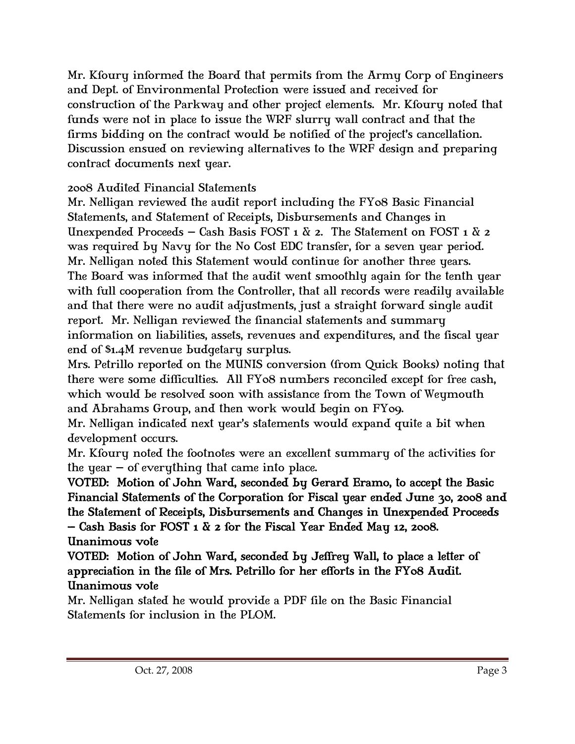Mr. Kfoury informed the Board that permits from the Army Corp of Engineers and Dept. of Environmental Protection were issued and received for construction of the Parkway and other project elements. Mr. Kfoury noted that funds were not in place to issue the WRF slurry wall contract and that the firms bidding on the contract would be notified of the project's cancellation. Discussion ensued on reviewing alternatives to the WRF design and preparing contract documents next year.

# 2008 Audited Financial Statements

Mr. Nelligan reviewed the audit report including the FY08 Basic Financial Statements, and Statement of Receipts, Disbursements and Changes in Unexpended Proceeds – Cash Basis FOST 1  $\&$  2. The Statement on FOST 1  $\&$  2 was required by Navy for the No Cost EDC transfer, for a seven year period. Mr. Nelligan noted this Statement would continue for another three years. The Board was informed that the audit went smoothly again for the tenth year with full cooperation from the Controller, that all records were readily available and that there were no audit adjustments, just a straight forward single audit report. Mr. Nelligan reviewed the financial statements and summary information on liabilities, assets, revenues and expenditures, and the fiscal year end of \$1.4M revenue budgetary surplus.

Mrs. Petrillo reported on the MUNIS conversion (from Quick Books) noting that there were some difficulties. All FY08 numbers reconciled except for free cash, which would be resolved soon with assistance from the Town of Weymouth and Abrahams Group, and then work would begin on FY09.

Mr. Nelligan indicated next year's statements would expand quite a bit when development occurs.

Mr. Kfoury noted the footnotes were an excellent summary of the activities for the year  $-$  of everything that came into place.

VOTED: Motion of John Ward, seconded by Gerard Eramo, to accept the Basic Financial Statements of the Corporation for Fiscal year ended June 30, 2008 and the Statement of Receipts, Disbursements and Changes in Unexpended Proceeds – Cash Basis for FOST 1  $\&$  2 for the Fiscal Year Ended May 12, 2008. Unanimous vote

VOTED: Motion of John Ward, seconded by Jeffrey Wall, to place a letter of appreciation in the file of Mrs. Petrillo for her efforts in the FY08 Audit. Unanimous vote

Mr. Nelligan stated he would provide a PDF file on the Basic Financial Statements for inclusion in the PLOM.